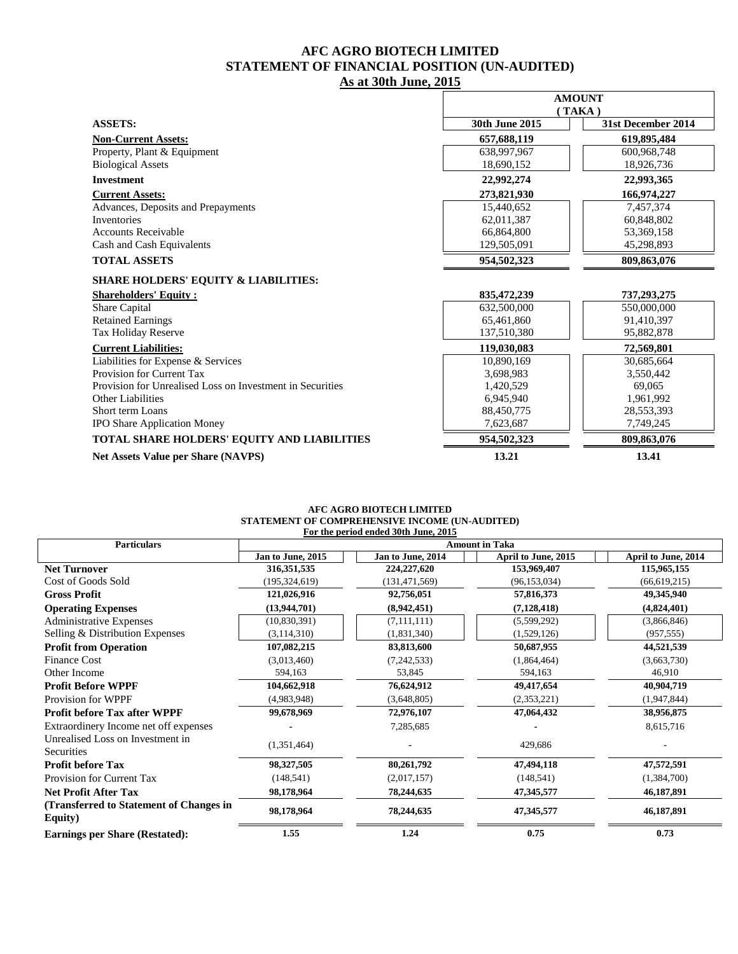## **AFC AGRO BIOTECH LIMITED STATEMENT OF FINANCIAL POSITION (UN-AUDITED) As at 30th June, 2015**

|                                                           | <b>AMOUNT</b>  |                    |
|-----------------------------------------------------------|----------------|--------------------|
|                                                           |                | (TAKA)             |
| <b>ASSETS:</b>                                            | 30th June 2015 | 31st December 2014 |
| <b>Non-Current Assets:</b>                                | 657,688,119    | 619,895,484        |
| Property, Plant & Equipment                               | 638,997,967    | 600,968,748        |
| <b>Biological Assets</b>                                  | 18,690,152     | 18,926,736         |
| <b>Investment</b>                                         | 22,992,274     | 22,993,365         |
| <b>Current Assets:</b>                                    | 273,821,930    | 166,974,227        |
| Advances, Deposits and Prepayments                        | 15,440,652     | 7,457,374          |
| Inventories                                               | 62,011,387     | 60,848,802         |
| <b>Accounts Receivable</b>                                | 66,864,800     | 53,369,158         |
| Cash and Cash Equivalents                                 | 129,505,091    | 45,298,893         |
| <b>TOTAL ASSETS</b>                                       | 954,502,323    | 809,863,076        |
| <b>SHARE HOLDERS' EQUITY &amp; LIABILITIES:</b>           |                |                    |
| <b>Shareholders' Equity:</b>                              | 835,472,239    | 737,293,275        |
| Share Capital                                             | 632,500,000    | 550,000,000        |
| <b>Retained Earnings</b>                                  | 65,461,860     | 91,410,397         |
| Tax Holiday Reserve                                       | 137,510,380    | 95,882,878         |
| <b>Current Liabilities:</b>                               | 119,030,083    | 72,569,801         |
| Liabilities for Expense & Services                        | 10,890,169     | 30,685,664         |
| Provision for Current Tax                                 | 3,698,983      | 3,550,442          |
| Provision for Unrealised Loss on Investment in Securities | 1,420,529      | 69.065             |
| Other Liabilities                                         | 6,945,940      | 1,961,992          |
| Short term Loans                                          | 88,450,775     | 28,553,393         |
| <b>IPO Share Application Money</b>                        | 7,623,687      | 7,749,245          |
| TOTAL SHARE HOLDERS' EQUITY AND LIABILITIES               | 954,502,323    | 809,863,076        |
| <b>Net Assets Value per Share (NAVPS)</b>                 | 13.21          | 13.41              |

## **AFC AGRO BIOTECH LIMITED STATEMENT OF COMPREHENSIVE INCOME (UN-AUDITED) For the period ended 30th June, 2015**

| <b>Particulars</b>                                 | <b>Amount in Taka</b> |                   |                     |                     |
|----------------------------------------------------|-----------------------|-------------------|---------------------|---------------------|
|                                                    | Jan to June, 2015     | Jan to June, 2014 | April to June, 2015 | April to June, 2014 |
| <b>Net Turnover</b>                                | 316, 351, 535         | 224,227,620       | 153,969,407         | 115,965,155         |
| Cost of Goods Sold                                 | (195, 324, 619)       | (131, 471, 569)   | (96, 153, 034)      | (66, 619, 215)      |
| <b>Gross Profit</b>                                | 121,026,916           | 92,756,051        | 57,816,373          | 49,345,940          |
| <b>Operating Expenses</b>                          | (13,944,701)          | (8,942,451)       | (7, 128, 418)       | (4,824,401)         |
| <b>Administrative Expenses</b>                     | (10,830,391)          | (7,111,111)       | (5,599,292)         | (3,866,846)         |
| Selling & Distribution Expenses                    | (3, 114, 310)         | (1,831,340)       | (1,529,126)         | (957, 555)          |
| <b>Profit from Operation</b>                       | 107,082,215           | 83,813,600        | 50,687,955          | 44,521,539          |
| <b>Finance Cost</b>                                | (3,013,460)           | (7,242,533)       | (1,864,464)         | (3,663,730)         |
| Other Income                                       | 594,163               | 53,845            | 594,163             | 46,910              |
| <b>Profit Before WPPF</b>                          | 104,662,918           | 76,624,912        | 49,417,654          | 40,904,719          |
| Provision for WPPF                                 | (4,983,948)           | (3,648,805)       | (2,353,221)         | (1,947,844)         |
| <b>Profit before Tax after WPPF</b>                | 99,678,969            | 72,976,107        | 47,064,432          | 38,956,875          |
| Extraordinery Income net off expenses              |                       | 7,285,685         |                     | 8,615,716           |
| Unrealised Loss on Investment in<br>Securities     | (1,351,464)           |                   | 429,686             |                     |
| <b>Profit before Tax</b>                           | 98,327,505            | 80,261,792        | 47,494,118          | 47,572,591          |
| Provision for Current Tax                          | (148, 541)            | (2,017,157)       | (148, 541)          | (1,384,700)         |
| <b>Net Profit After Tax</b>                        | 98,178,964            | 78,244,635        | 47,345,577          | 46,187,891          |
| (Transferred to Statement of Changes in<br>Equity) | 98,178,964            | 78,244,635        | 47,345,577          | 46,187,891          |
| <b>Earnings per Share (Restated):</b>              | 1.55                  | 1.24              | 0.75                | 0.73                |